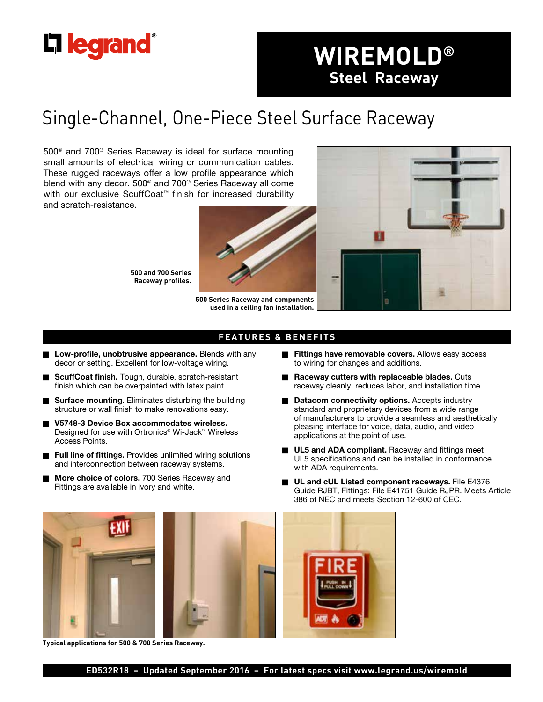

# **WIREMOLD® Steel Raceway**

## Single-Channel, One-Piece Steel Surface Raceway

500® and 700® Series Raceway is ideal for surface mounting small amounts of electrical wiring or communication cables. These rugged raceways offer a low profile appearance which blend with any decor. 500® and 700® Series Raceway all come with our exclusive ScuffCoat<sup>™</sup> finish for increased durability and scratch-resistance.



**500 and 700 Series Raceway profiles.**

**500 Series Raceway and components used in a ceiling fan installation.**



### **FEATURES & BENEFITS**

- Low-profile, unobtrusive appearance. Blends with any decor or setting. Excellent for low-voltage wiring.
- **ScuffCoat finish.** Tough, durable, scratch-resistant finish which can be overpainted with latex paint.
- **Surface mounting.** Eliminates disturbing the building structure or wall finish to make renovations easy.
- n **V5748-3 Device Box accommodates wireless.** Designed for use with Ortronics® Wi-Jack™ Wireless Access Points.
- Full line of fittings. Provides unlimited wiring solutions and interconnection between raceway systems.
- More choice of colors. 700 Series Raceway and Fittings are available in ivory and white.
- **Fittings have removable covers.** Allows easy access to wiring for changes and additions.
- Raceway cutters with replaceable blades. Cuts raceway cleanly, reduces labor, and installation time.
- **Datacom connectivity options.** Accepts industry standard and proprietary devices from a wide range of manufacturers to provide a seamless and aesthetically pleasing interface for voice, data, audio, and video applications at the point of use.
- **UL5 and ADA compliant.** Raceway and fittings meet UL5 specifications and can be installed in conformance with ADA requirements.
- **NUME UL and cUL Listed component raceways. File E4376** Guide RJBT, Fittings: File E41751 Guide RJPR. Meets Article 386 of NEC and meets Section 12-600 of CEC.



**Typical applications for 500 & 700 Series Raceway.**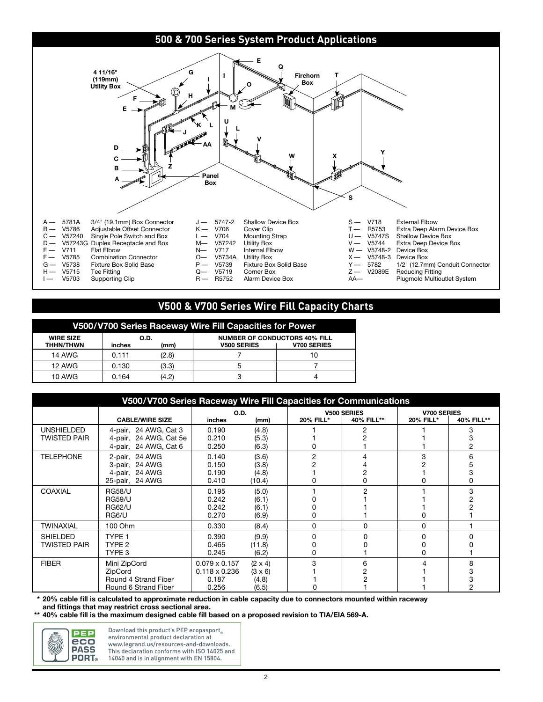

### **V500 & V700 Series Wire Fill Capacity Charts**

| V500/V700 Series Raceway Wire Fill Capacities for Power |        |              |                                                            |                    |  |  |
|---------------------------------------------------------|--------|--------------|------------------------------------------------------------|--------------------|--|--|
| <b>WIRE SIZE</b><br><b>THHN/THWN</b>                    | inches | O.D.<br>(mm) | <b>NUMBER OF CONDUCTORS 40% FILL</b><br><b>V500 SERIES</b> | <b>V700 SERIES</b> |  |  |
| <b>14 AWG</b>                                           | 0.111  | (2.8)        |                                                            | 10                 |  |  |
| <b>12 AWG</b>                                           | 0.130  | (3.3)        | 5                                                          |                    |  |  |
| <b>10 AWG</b>                                           | 0.164  | (4.2)        | ◠<br>c                                                     |                    |  |  |

| V500/V700 Series Raceway Wire Fill Capacities for Communications |                        |                      |                |                    |            |                    |            |
|------------------------------------------------------------------|------------------------|----------------------|----------------|--------------------|------------|--------------------|------------|
|                                                                  |                        | <b>O.D.</b>          |                | <b>V500 SERIES</b> |            | <b>V700 SERIES</b> |            |
|                                                                  | <b>CABLE/WIRE SIZE</b> | inches               | (mm)           | <b>20% FILL*</b>   | 40% FILL** | 20% FILL*          | 40% FILL** |
| <b>UNSHIELDED</b>                                                | 4-pair, 24 AWG, Cat 3  | 0.190                | (4.8)          |                    |            |                    |            |
| TWISTED PAIR                                                     | 4-pair, 24 AWG, Cat 5e | 0.210                | (5.3)          |                    |            |                    |            |
|                                                                  | 4-pair, 24 AWG, Cat 6  | 0.250                | (6.3)          |                    |            |                    |            |
| <b>TELEPHONE</b>                                                 | 2-pair, 24 AWG         | 0.140                | (3.6)          | 2                  |            | 3                  | ี          |
|                                                                  | 3-pair, 24 AWG         | 0.150                | (3.8)          |                    |            |                    |            |
|                                                                  | 4-pair, 24 AWG         | 0.190                | (4.8)          |                    |            |                    |            |
|                                                                  | 25-pair, 24 AWG        | 0.410                | (10.4)         |                    |            |                    |            |
| <b>COAXIAL</b>                                                   | <b>RG58/U</b>          | 0.195                | (5.0)          |                    |            |                    | 3          |
|                                                                  | <b>RG59/U</b>          | 0.242                | (6.1)          |                    |            |                    |            |
|                                                                  | <b>RG62/U</b>          | 0.242                | (6.1)          |                    |            |                    |            |
|                                                                  | RG6/U                  | 0.270                | (6.9)          |                    |            |                    |            |
| TWINAXIAL                                                        | 100 Ohm                | 0.330                | (8.4)          | 0                  | 0          | 0                  |            |
| <b>SHIELDED</b>                                                  | TYPE <sub>1</sub>      | 0.390                | (9.9)          |                    |            |                    |            |
| TWISTED PAIR                                                     | TYPE 2                 | 0.465                | (11.8)         |                    |            |                    |            |
|                                                                  | TYPE 3                 | 0.245                | (6.2)          |                    |            |                    |            |
| <b>FIBER</b>                                                     | Mini ZipCord           | $0.079 \times 0.157$ | $(2 \times 4)$ | 3                  | հ          |                    | 8          |
|                                                                  | ZipCord                |                      | $(3 \times 6)$ |                    |            |                    |            |
| Round 4 Strand Fiber                                             |                        | 0.187                | (4.8)          |                    |            |                    |            |
| Round 6 Strand Fiber                                             |                        | 0.256                | (6.5)          |                    |            |                    |            |

**\* 20% cable fill is calculated to approximate reduction in cable capacity due to connectors mounted within raceway and fittings that may restrict cross sectional area.**

**\*\* 40% cable fill is the maximum designed cable fill based on a proposed revision to TIA/EIA 569-A.**



Download this product's PEP ecopasport environmental product declaration at www.legrand.us/resources-and-downloads. This declaration conforms with ISO 14025 and 14040 and is in alignment with EN 15804.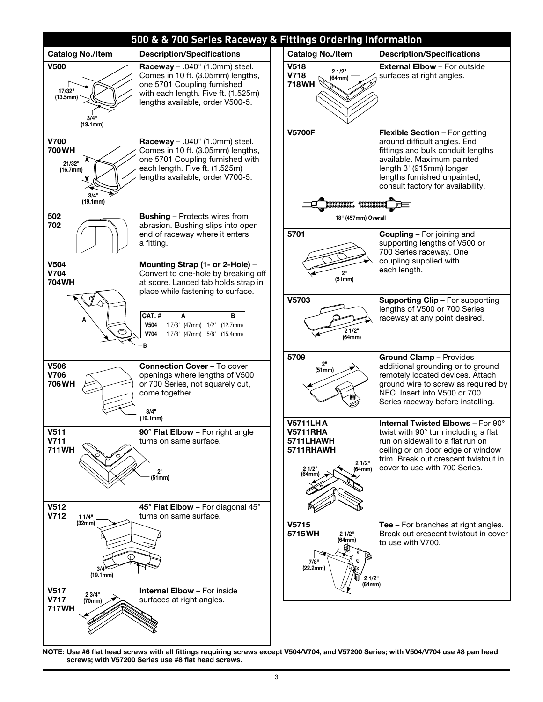

**NOTE: Use #6 flat head screws with all fittings requiring screws except V504/V704, and V57200 Series; with V504/V704 use #8 pan head screws; with V57200 Series use #8 flat head screws.**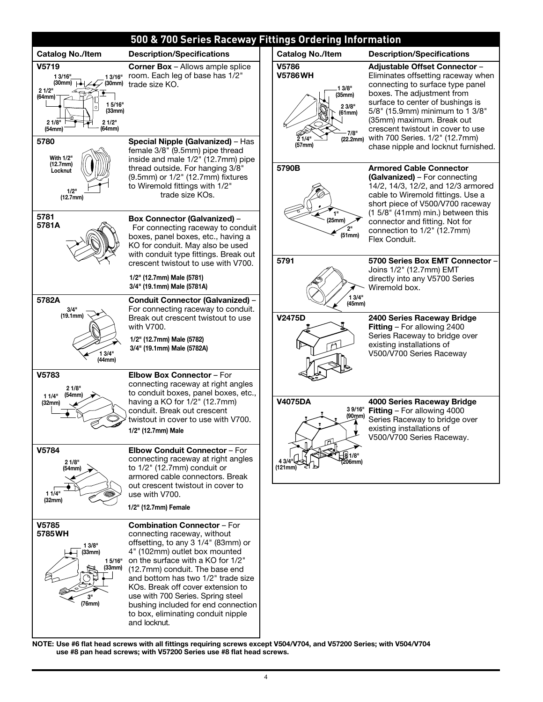

**NOTE: Use #6 flat head screws with all fittings requiring screws except V504/V704, and V57200 Series; with V504/V704 use #8 pan head screws; with V57200 Series use #8 flat head screws.**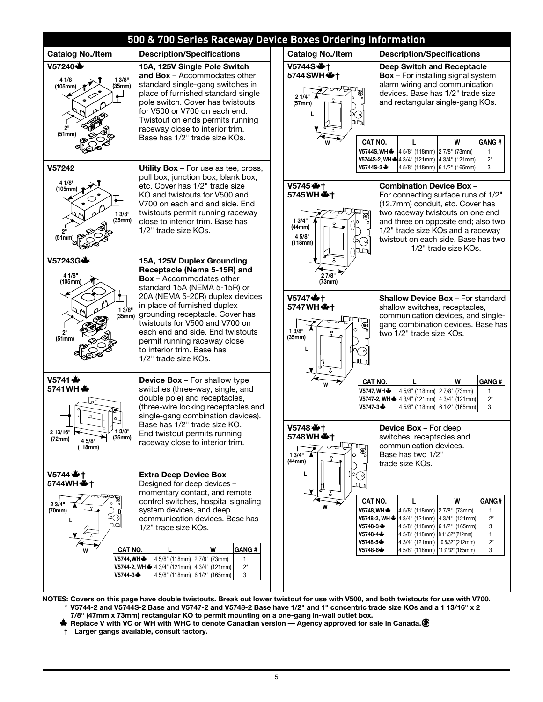

**NOTES: Covers on this page have double twistouts. Break out lower twistout for use with V500, and both twistouts for use with V700. \* V5744-2 and V5744S-2 Base and V5747-2 and V5748-2 Base have 1/2" and 1" concentric trade size KOs and a 1 13/16" x 2 7/8" (47mm x 73mm) rectangular KO to permit mounting on a one-gang in-wall outlet box.**

- $*$  **Replace V with VC or WH with WHC to denote Canadian version Agency approved for sale in Canada. <sup>®</sup>**
- **† Larger gangs available, consult factory.**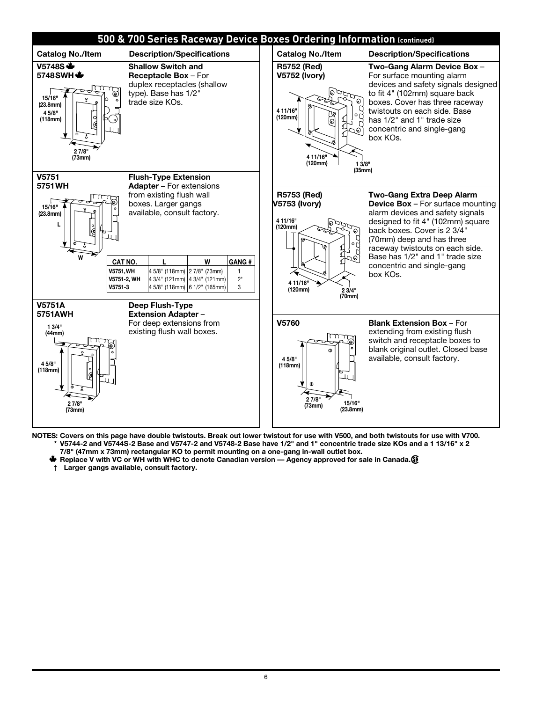

- **NOTES: Covers on this page have double twistouts. Break out lower twistout for use with V500, and both twistouts for use with V700. \* V5744-2 and V5744S-2 Base and V5747-2 and V5748-2 Base have 1/2" and 1" concentric trade size KOs and a 1 13/16" x 2** 
	- **7/8" (47mm x 73mm) rectangular KO to permit mounting on a one-gang in-wall outlet box.**
	- **W** Replace V with VC or WH with WHC to denote Canadian version Agency approved for sale in Canada. The
	- **† Larger gangs available, consult factory.**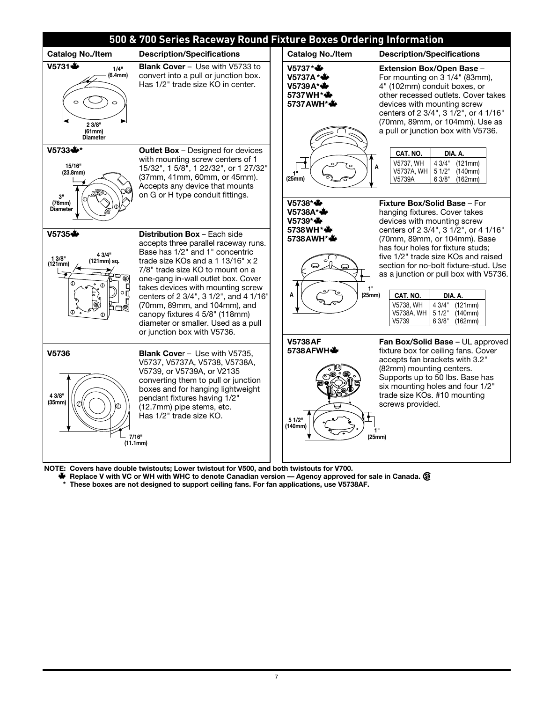

**NOTE: Covers have double twistouts; Lower twistout for V500, and both twistouts for V700.**

**W** Replace V with VC or WH with WHC to denote Canadian version — Agency approved for sale in Canada.  $\circledR$ 

**\* These boxes are not designed to support ceiling fans. For fan applications, use V5738AF.**